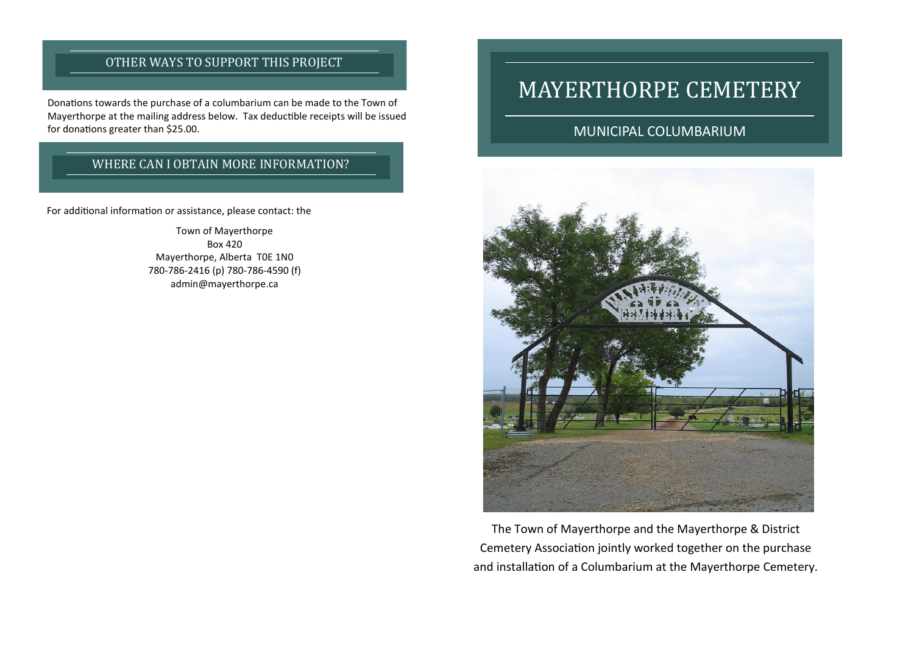## OTHER WAYS TO SUPPORT THIS PROJECT

Donations towards the purchase of a columbarium can be made to the Town of Mayerthorpe at the mailing address below. Tax deductible receipts will be issued for donations greater than \$25.00.

#### WHERE CAN I OBTAIN MORE INFORMATION?

For additional information or assistance, please contact: the

Town of Mayerthorpe Box 420 Mayerthorpe, Alberta T0E 1N0 780-786-2416 (p) 780-786-4590 (f) admin@mayerthorpe.ca

# MAYERTHORPE CEMETERY

#### MUNICIPAL COLUMBARIUM



The Town of Mayerthorpe and the Mayerthorpe & District Cemetery Association jointly worked together on the purchase and installation of a Columbarium at the Mayerthorpe Cemetery.